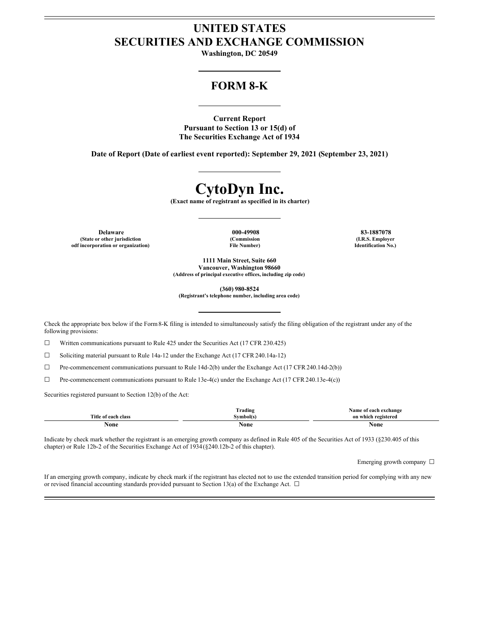# **UNITED STATES SECURITIES AND EXCHANGE COMMISSION**

**Washington, DC 20549**

## **FORM 8-K**

**Current Report Pursuant to Section 13 or 15(d) of The Securities Exchange Act of 1934**

**Date of Report (Date of earliest event reported): September 29, 2021 (September 23, 2021)**

# **CytoDyn Inc.**

**(Exact name of registrant as specified in its charter)**

**Delaware 000-49908 83-1887078 (State or other jurisdiction odf incorporation or organization)**

**(Commission File Number)**

**(I.R.S. Employer Identification No.)**

**1111 Main Street, Suite 660 Vancouver, Washington 98660 (Address of principal executive offices, including zip code)**

**(360) 980-8524**

**(Registrant's telephone number, including area code)**

Check the appropriate box below if the Form8-K filing is intended to simultaneously satisfy the filing obligation of the registrant under any of the following provisions:

☐ Written communications pursuant to Rule 425 under the Securities Act (17 CFR 230.425)

☐ Soliciting material pursuant to Rule 14a-12 under the Exchange Act (17 CFR 240.14a-12)

☐ Pre-commencement communications pursuant to Rule 14d-2(b) under the Exchange Act (17 CFR 240.14d-2(b))

☐ Pre-commencement communications pursuant to Rule 13e-4(c) under the Exchange Act (17 CFR 240.13e-4(c))

Securities registered pursuant to Section 12(b) of the Act:

|                                | Trading   | ı exchange<br>Jome<br>.coch<br>$^{\circ}$ |
|--------------------------------|-----------|-------------------------------------------|
| Title.<br><b>of each class</b> | Symbol(s) | registered<br>on                          |
| None                           | None      | None                                      |

Indicate by check mark whether the registrant is an emerging growth company as defined in Rule 405 of the Securities Act of 1933 (§230.405 of this chapter) or Rule 12b-2 of the Securities Exchange Act of 1934(§240.12b-2 of this chapter).

Emerging growth company □

If an emerging growth company, indicate by check mark if the registrant has elected not to use the extended transition period for complying with any new or revised financial accounting standards provided pursuant to Section 13(a) of the Exchange Act.  $\Box$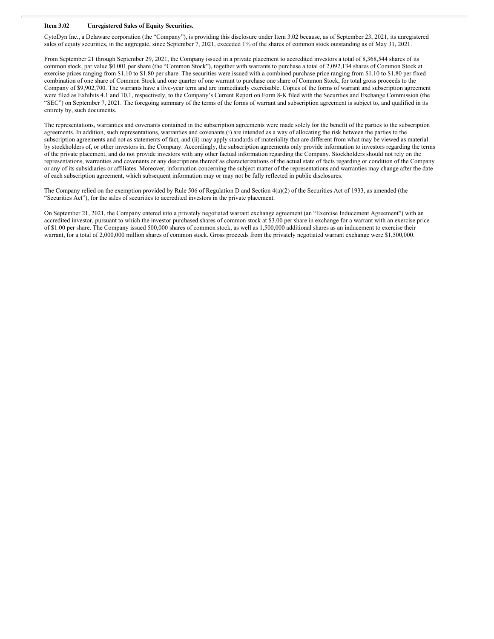#### **Item 3.02 Unregistered Sales of Equity Securities.**

CytoDyn Inc., a Delaware corporation (the "Company"), is providing this disclosure under Item 3.02 because, as of September 23, 2021, its unregistered sales of equity securities, in the aggregate, since September 7, 2021, exceeded 1% of the shares of common stock outstanding as of May 31, 2021.

From September 21 through September 29, 2021, the Company issued in a private placement to accredited investors a total of 8,368,544 shares of its common stock, par value \$0.001 per share (the "Common Stock"), together with warrants to purchase a total of 2,092,134 shares of Common Stock at exercise prices ranging from \$1.10 to \$1.80 per share. The securities were issued with a combined purchase price ranging from \$1.10 to \$1.80 per fixed combination of one share of Common Stock and one quarter of one warrant to purchase one share of Common Stock, for total gross proceeds to the Company of \$9,902,700. The warrants have a five-year term and are immediately exercisable. Copies of the forms of warrant and subscription agreement were filed as Exhibits 4.1 and 10.1, respectively, to the Company's Current Report on Form 8-K filed with the Securities and Exchange Commission (the "SEC") on September 7, 2021. The foregoing summary of the terms of the forms of warrant and subscription agreement is subject to, and qualified in its entirety by, such documents.

The representations, warranties and covenants contained in the subscription agreements were made solely for the benefit of the parties to the subscription agreements. In addition, such representations, warranties and covenants (i) are intended as a way of allocating the risk between the parties to the subscription agreements and not as statements of fact, and (ii) may apply standards of materiality that are different from what may be viewed as material by stockholders of, or other investors in, the Company. Accordingly, the subscription agreements only provide information to investors regarding the terms of the private placement, and do not provide investors with any other factual information regarding the Company. Stockholders should not rely on the representations, warranties and covenants or any descriptions thereof as characterizations of the actual state of facts regarding or condition of the Company or any of its subsidiaries or affiliates. Moreover, information concerning the subject matter of the representations and warranties may change after the date of each subscription agreement, which subsequent information may or may not be fully reflected in public disclosures.

The Company relied on the exemption provided by Rule 506 of Regulation D and Section 4(a)(2) of the Securities Act of 1933, as amended (the "Securities Act"), for the sales of securities to accredited investors in the private placement.

On September 21, 2021, the Company entered into a privately negotiated warrant exchange agreement (an "Exercise Inducement Agreement") with an accredited investor, pursuant to which the investor purchased shares of common stock at \$3.00 per share in exchange for a warrant with an exercise price of \$1.00 per share. The Company issued 500,000 shares of common stock, as well as 1,500,000 additional shares as an inducement to exercise their warrant, for a total of 2,000,000 million shares of common stock. Gross proceeds from the privately negotiated warrant exchange were \$1,500,000.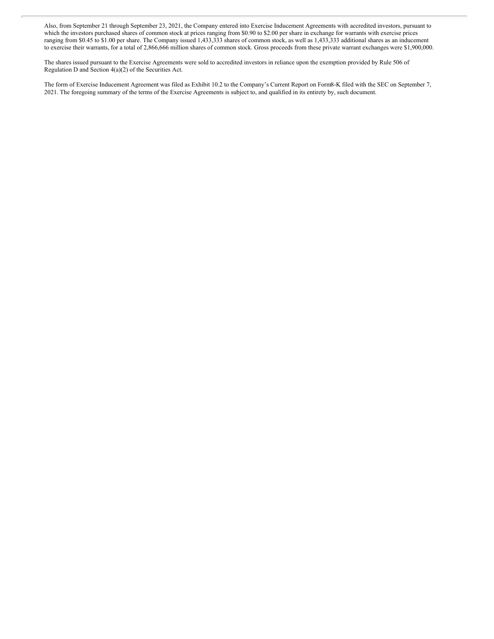Also, from September 21 through September 23, 2021, the Company entered into Exercise Inducement Agreements with accredited investors, pursuant to which the investors purchased shares of common stock at prices ranging from \$0.90 to \$2.00 per share in exchange for warrants with exercise prices ranging from \$0.45 to \$1.00 per share. The Company issued 1,433,333 shares of common stock, as well as 1,433,333 additional shares as an inducement to exercise their warrants, for a total of 2,866,666 million shares of common stock. Gross proceeds from these private warrant exchanges were \$1,900,000.

The shares issued pursuant to the Exercise Agreements were sold to accredited investors in reliance upon the exemption provided by Rule 506 of Regulation D and Section 4(a)(2) of the Securities Act.

The form of Exercise Inducement Agreement was filed as Exhibit 10.2 to the Company's Current Report on Form8-K filed with the SEC on September 7, 2021. The foregoing summary of the terms of the Exercise Agreements is subject to, and qualified in its entirety by, such document.